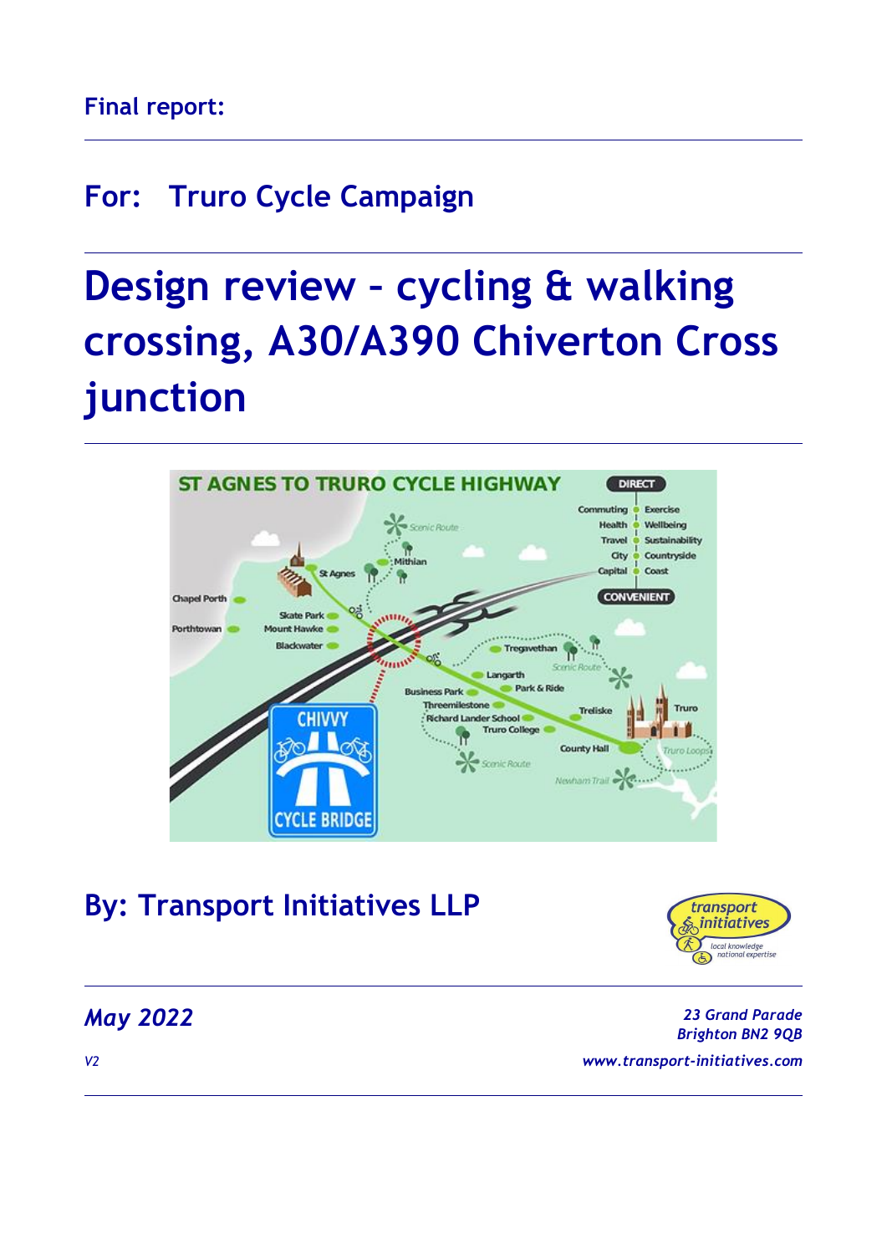## **For: Truro Cycle Campaign**

# **Design review – cycling & walking crossing, A30/A390 Chiverton Cross junction**



## **By: Transport Initiatives LLP**



#### *May 2022*

*23 Grand Parade Brighton BN2 9QB www.transport-initiatives.com*

*V2*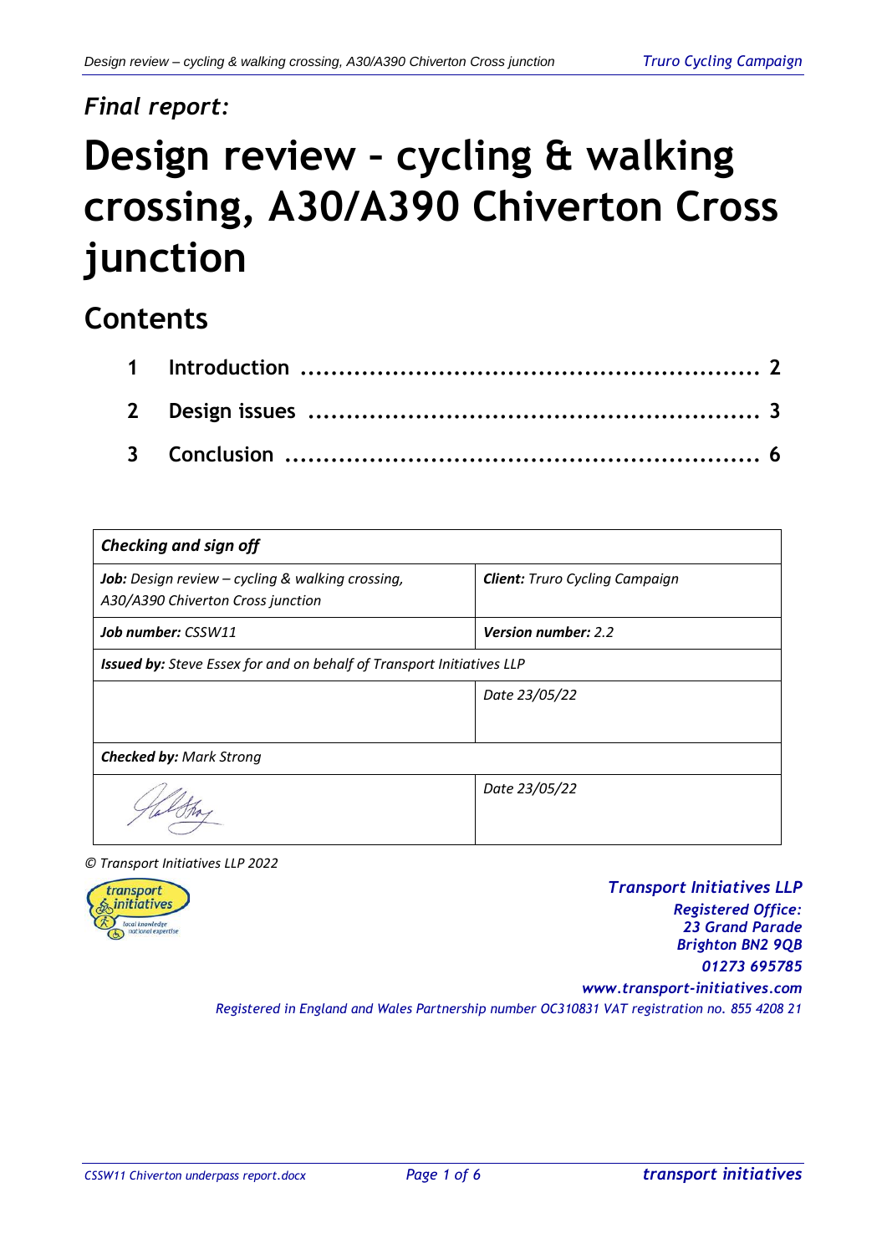## *Final report:*

# **Design review – cycling & walking crossing, A30/A390 Chiverton Cross junction**

## **Contents**

| <b>Checking and sign off</b>                                                                 |                                       |  |
|----------------------------------------------------------------------------------------------|---------------------------------------|--|
| <b>Job:</b> Design review - cycling & walking crossing,<br>A30/A390 Chiverton Cross junction | <b>Client:</b> Truro Cycling Campaign |  |
| <b>Job number: CSSW11</b>                                                                    | <b>Version number: 2.2</b>            |  |
| <b>Issued by:</b> Steve Essex for and on behalf of Transport Initiatives LLP                 |                                       |  |
|                                                                                              | Date 23/05/22                         |  |
| <b>Checked by: Mark Strong</b>                                                               |                                       |  |
|                                                                                              | Date 23/05/22                         |  |

*© Transport Initiatives LLP 2022*



*Transport Initiatives LLP Registered Office: 23 Grand Parade Brighton BN2 9QB 01273 695785*

*www.transport-initiatives.com Registered in England and Wales Partnership number OC310831 VAT registration no. 855 4208 21*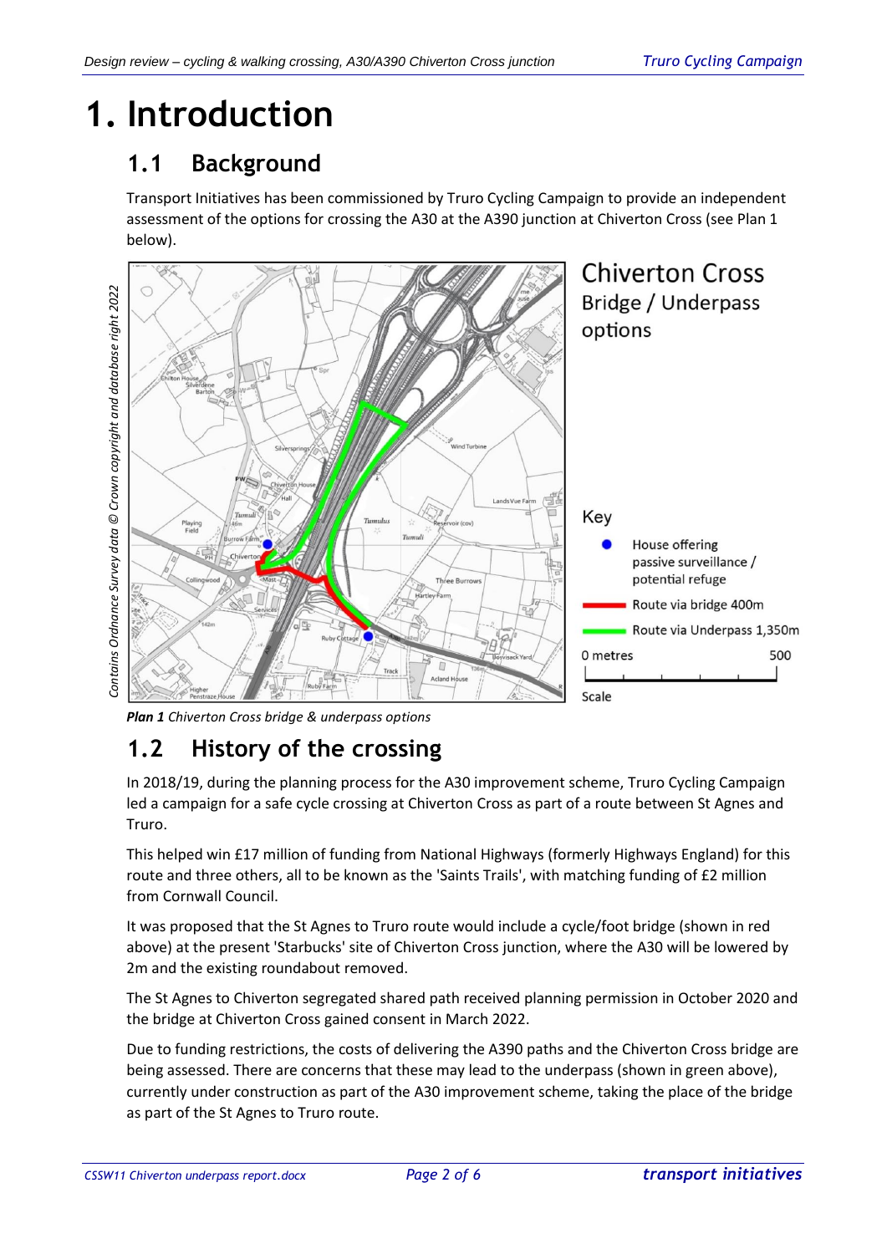## **1. Introduction**

## **1.1 Background**

Transport Initiatives has been commissioned by Truro Cycling Campaign to provide an independent assessment of the options for crossing the A30 at the A390 junction at Chiverton Cross (see Plan 1 below).



*Plan 1 Chiverton Cross bridge & underpass options*

## **1.2 History of the crossing**

In 2018/19, during the planning process for the A30 improvement scheme, Truro Cycling Campaign led a campaign for a safe cycle crossing at Chiverton Cross as part of a route between St Agnes and Truro.

This helped win £17 million of funding from National Highways (formerly Highways England) for this route and three others, all to be known as the 'Saints Trails', with matching funding of £2 million from Cornwall Council.

It was proposed that the St Agnes to Truro route would include a cycle/foot bridge (shown in red above) at the present 'Starbucks' site of Chiverton Cross junction, where the A30 will be lowered by 2m and the existing roundabout removed.

The St Agnes to Chiverton segregated shared path received planning permission in October 2020 and the bridge at Chiverton Cross gained consent in March 2022.

Due to funding restrictions, the costs of delivering the A390 paths and the Chiverton Cross bridge are being assessed. There are concerns that these may lead to the underpass (shown in green above), currently under construction as part of the A30 improvement scheme, taking the place of the bridge as part of the St Agnes to Truro route.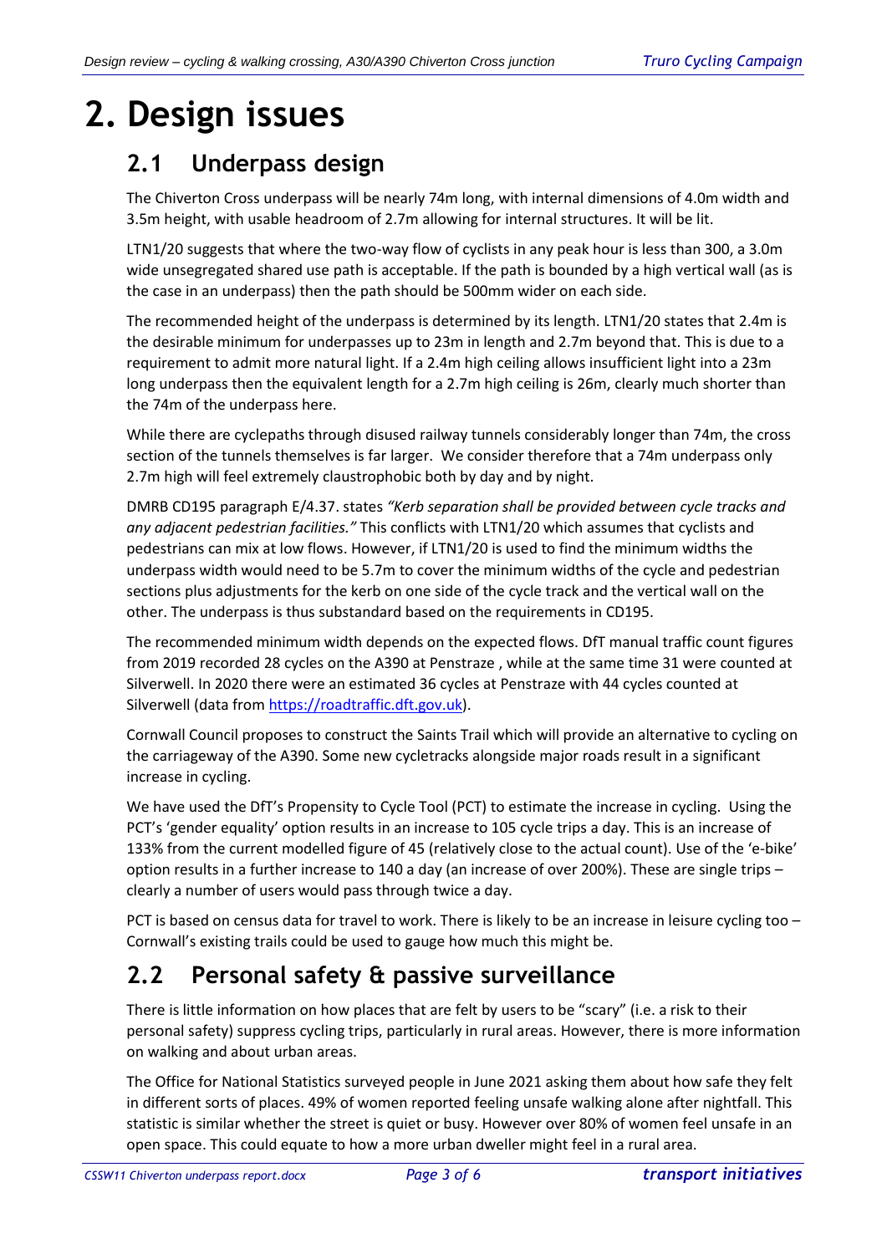## **2. Design issues**

## **2.1 Underpass design**

The Chiverton Cross underpass will be nearly 74m long, with internal dimensions of 4.0m width and 3.5m height, with usable headroom of 2.7m allowing for internal structures. It will be lit.

LTN1/20 suggests that where the two-way flow of cyclists in any peak hour is less than 300, a 3.0m wide unsegregated shared use path is acceptable. If the path is bounded by a high vertical wall (as is the case in an underpass) then the path should be 500mm wider on each side.

The recommended height of the underpass is determined by its length. LTN1/20 states that 2.4m is the desirable minimum for underpasses up to 23m in length and 2.7m beyond that. This is due to a requirement to admit more natural light. If a 2.4m high ceiling allows insufficient light into a 23m long underpass then the equivalent length for a 2.7m high ceiling is 26m, clearly much shorter than the 74m of the underpass here.

While there are cyclepaths through disused railway tunnels considerably longer than 74m, the cross section of the tunnels themselves is far larger. We consider therefore that a 74m underpass only 2.7m high will feel extremely claustrophobic both by day and by night.

DMRB CD195 paragraph E/4.37. states *"Kerb separation shall be provided between cycle tracks and any adjacent pedestrian facilities."* This conflicts with LTN1/20 which assumes that cyclists and pedestrians can mix at low flows. However, if LTN1/20 is used to find the minimum widths the underpass width would need to be 5.7m to cover the minimum widths of the cycle and pedestrian sections plus adjustments for the kerb on one side of the cycle track and the vertical wall on the other. The underpass is thus substandard based on the requirements in CD195.

The recommended minimum width depends on the expected flows. DfT manual traffic count figures from 2019 recorded 28 cycles on the A390 at Penstraze , while at the same time 31 were counted at Silverwell. In 2020 there were an estimated 36 cycles at Penstraze with 44 cycles counted at Silverwell (data from [https://roadtraffic.dft.gov.uk\)](https://roadtraffic.dft.gov.uk/).

Cornwall Council proposes to construct the Saints Trail which will provide an alternative to cycling on the carriageway of the A390. Some new cycletracks alongside major roads result in a significant increase in cycling.

We have used the DfT's Propensity to Cycle Tool (PCT) to estimate the increase in cycling. Using the PCT's 'gender equality' option results in an increase to 105 cycle trips a day. This is an increase of 133% from the current modelled figure of 45 (relatively close to the actual count). Use of the 'e-bike' option results in a further increase to 140 a day (an increase of over 200%). These are single trips – clearly a number of users would pass through twice a day.

PCT is based on census data for travel to work. There is likely to be an increase in leisure cycling too -Cornwall's existing trails could be used to gauge how much this might be.

## **2.2 Personal safety & passive surveillance**

There is little information on how places that are felt by users to be "scary" (i.e. a risk to their personal safety) suppress cycling trips, particularly in rural areas. However, there is more information on walking and about urban areas.

The Office for National Statistics surveyed people in June 2021 asking them about how safe they felt in different sorts of places. 49% of women reported feeling unsafe walking alone after nightfall. This statistic is similar whether the street is quiet or busy. However over 80% of women feel unsafe in an open space. This could equate to how a more urban dweller might feel in a rural area.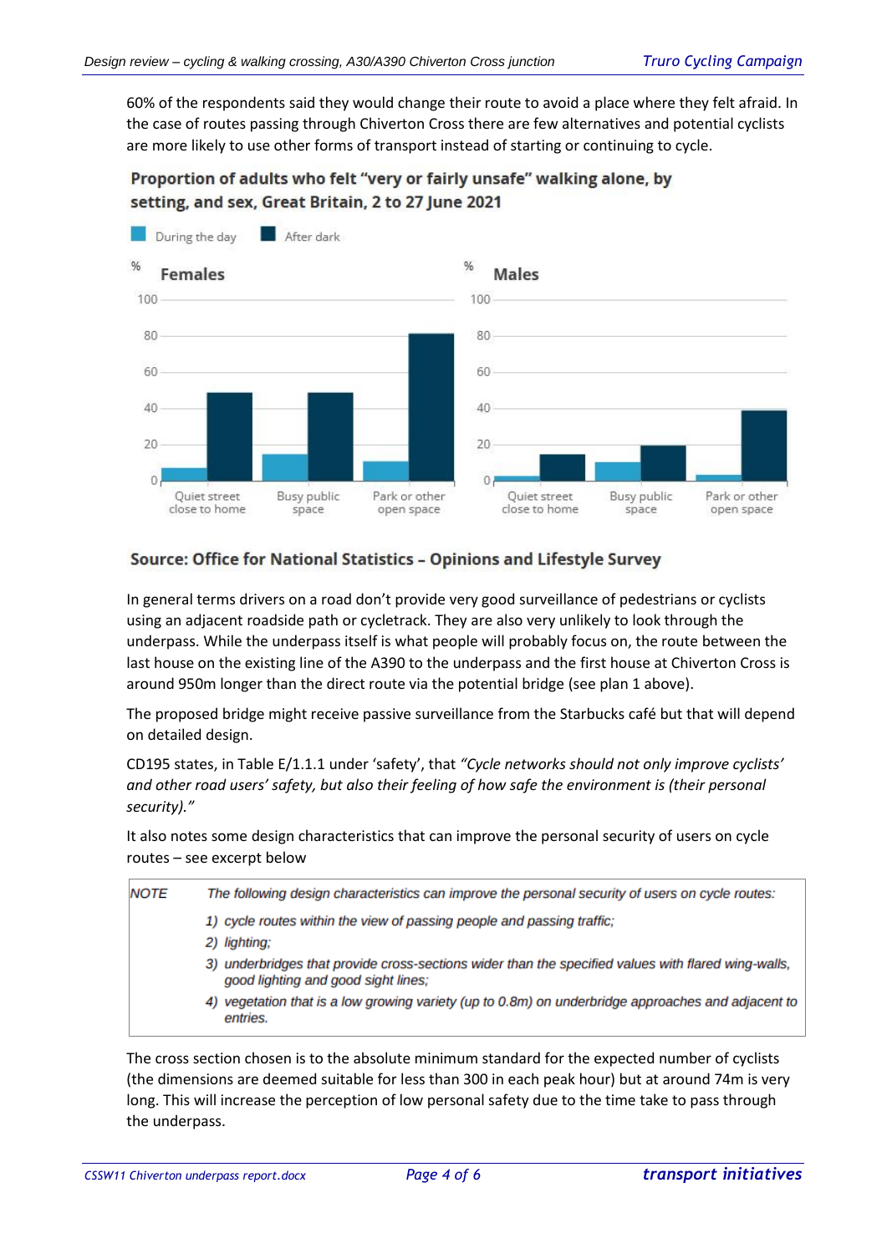60% of the respondents said they would change their route to avoid a place where they felt afraid. In the case of routes passing through Chiverton Cross there are few alternatives and potential cyclists are more likely to use other forms of transport instead of starting or continuing to cycle.



#### Proportion of adults who felt "very or fairly unsafe" walking alone, by setting, and sex, Great Britain, 2 to 27 June 2021

#### Source: Office for National Statistics - Opinions and Lifestyle Survey

In general terms drivers on a road don't provide very good surveillance of pedestrians or cyclists using an adjacent roadside path or cycletrack. They are also very unlikely to look through the underpass. While the underpass itself is what people will probably focus on, the route between the last house on the existing line of the A390 to the underpass and the first house at Chiverton Cross is around 950m longer than the direct route via the potential bridge (see plan 1 above).

The proposed bridge might receive passive surveillance from the Starbucks café but that will depend on detailed design.

CD195 states, in Table E/1.1.1 under 'safety', that *"Cycle networks should not only improve cyclists' and other road users' safety, but also their feeling of how safe the environment is (their personal security)."*

It also notes some design characteristics that can improve the personal security of users on cycle routes – see excerpt below

| <b>NOTE</b> | The following design characteristics can improve the personal security of users on cycle routes:                                           |
|-------------|--------------------------------------------------------------------------------------------------------------------------------------------|
|             | 1) cycle routes within the view of passing people and passing traffic;                                                                     |
|             | 2) lighting;                                                                                                                               |
|             | 3) underbridges that provide cross-sections wider than the specified values with flared wing-walls,<br>good lighting and good sight lines; |
|             | 4) vegetation that is a low growing variety (up to 0.8m) on underbridge approaches and adjacent to<br>entries.                             |

The cross section chosen is to the absolute minimum standard for the expected number of cyclists (the dimensions are deemed suitable for less than 300 in each peak hour) but at around 74m is very long. This will increase the perception of low personal safety due to the time take to pass through the underpass.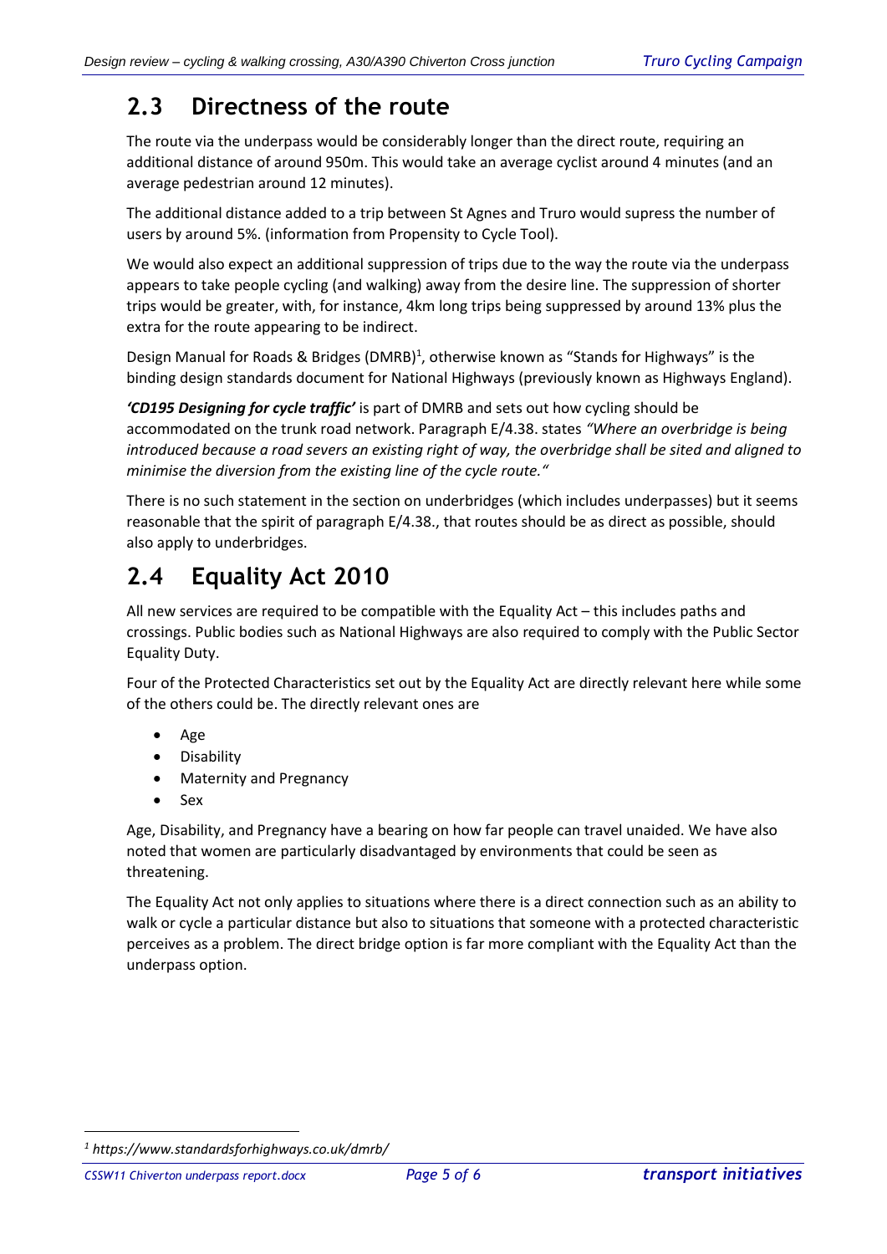## **2.3 Directness of the route**

The route via the underpass would be considerably longer than the direct route, requiring an additional distance of around 950m. This would take an average cyclist around 4 minutes (and an average pedestrian around 12 minutes).

The additional distance added to a trip between St Agnes and Truro would supress the number of users by around 5%. (information from Propensity to Cycle Tool).

We would also expect an additional suppression of trips due to the way the route via the underpass appears to take people cycling (and walking) away from the desire line. The suppression of shorter trips would be greater, with, for instance, 4km long trips being suppressed by around 13% plus the extra for the route appearing to be indirect.

Design Manual for Roads & Bridges (DMRB)<sup>1</sup>, otherwise known as "Stands for Highways" is the binding design standards document for National Highways (previously known as Highways England).

*'CD195 Designing for cycle traffic'* is part of DMRB and sets out how cycling should be accommodated on the trunk road network. Paragraph E/4.38. states *"Where an overbridge is being introduced because a road severs an existing right of way, the overbridge shall be sited and aligned to minimise the diversion from the existing line of the cycle route."*

There is no such statement in the section on underbridges (which includes underpasses) but it seems reasonable that the spirit of paragraph E/4.38., that routes should be as direct as possible, should also apply to underbridges.

## **2.4 Equality Act 2010**

All new services are required to be compatible with the Equality Act – this includes paths and crossings. Public bodies such as National Highways are also required to comply with the Public Sector Equality Duty.

Four of the Protected Characteristics set out by the Equality Act are directly relevant here while some of the others could be. The directly relevant ones are

- Age
- Disability
- Maternity and Pregnancy
- Sex

Age, Disability, and Pregnancy have a bearing on how far people can travel unaided. We have also noted that women are particularly disadvantaged by environments that could be seen as threatening.

The Equality Act not only applies to situations where there is a direct connection such as an ability to walk or cycle a particular distance but also to situations that someone with a protected characteristic perceives as a problem. The direct bridge option is far more compliant with the Equality Act than the underpass option.

*<sup>1</sup> https://www.standardsforhighways.co.uk/dmrb/*